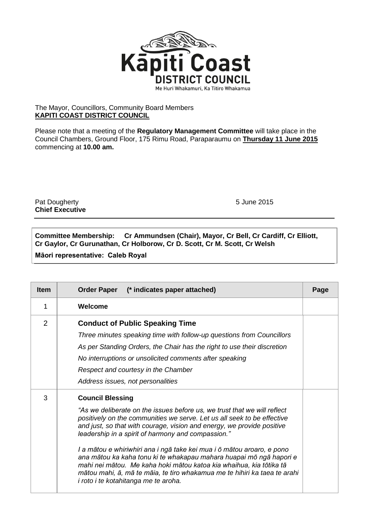

## The Mayor, Councillors, Community Board Members **KAPITI COAST DISTRICT COUNCIL**

Please note that a meeting of the **Regulatory Management Committee** will take place in the Council Chambers, Ground Floor, 175 Rimu Road, Paraparaumu on **Thursday 11 June 2015** commencing at **10.00 am.**

Pat Dougherty **1988 Pat Dougherty 1988 Pat Dougherty 5 June 2015 Chief Executive**

**Committee Membership: Cr Ammundsen (Chair), Mayor, Cr Bell, Cr Cardiff, Cr Elliott, Cr Gaylor, Cr Gurunathan, Cr Holborow, Cr D. Scott, Cr M. Scott, Cr Welsh**

**Māori representative: Caleb Royal**

| <b>Item</b>    | Order Paper (* indicates paper attached)                                                                                                                                                                                                                                                                                                                                                                                                                                                                                                                                                                                                                    | Page |
|----------------|-------------------------------------------------------------------------------------------------------------------------------------------------------------------------------------------------------------------------------------------------------------------------------------------------------------------------------------------------------------------------------------------------------------------------------------------------------------------------------------------------------------------------------------------------------------------------------------------------------------------------------------------------------------|------|
| 1              | Welcome                                                                                                                                                                                                                                                                                                                                                                                                                                                                                                                                                                                                                                                     |      |
| $\overline{2}$ | <b>Conduct of Public Speaking Time</b><br>Three minutes speaking time with follow-up questions from Councillors<br>As per Standing Orders, the Chair has the right to use their discretion<br>No interruptions or unsolicited comments after speaking<br>Respect and courtesy in the Chamber<br>Address issues, not personalities                                                                                                                                                                                                                                                                                                                           |      |
| 3              | <b>Council Blessing</b><br>"As we deliberate on the issues before us, we trust that we will reflect<br>positively on the communities we serve. Let us all seek to be effective<br>and just, so that with courage, vision and energy, we provide positive<br>leadership in a spirit of harmony and compassion."<br>I a mātou e whiriwhiri ana i ngā take kei mua i ō mātou aroaro, e pono<br>ana mātou ka kaha tonu ki te whakapau mahara huapai mō ngā hapori e<br>mahi nei mātou. Me kaha hoki mātou katoa kia whaihua, kia tōtika tā<br>mātou mahi, ā, mā te māia, te tiro whakamua me te hihiri ka taea te arahi<br>i roto i te kotahitanga me te aroha. |      |